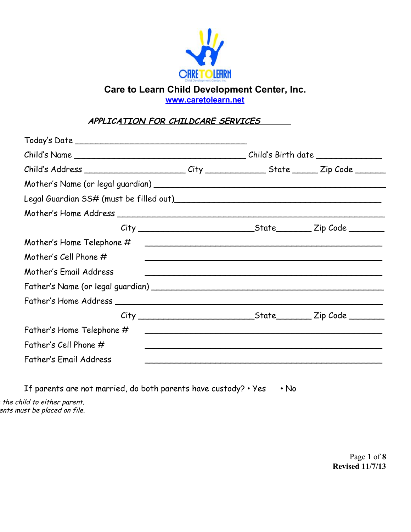

**[www.caretolearn.net](http://www.caretolearn.net/)**

**APPLICATION FOR CHILDCARE SERVICES**

| Child's Address ____________________________City __________________State ________Zip Code _________ |  |  |  |  |
|-----------------------------------------------------------------------------------------------------|--|--|--|--|
|                                                                                                     |  |  |  |  |
|                                                                                                     |  |  |  |  |
|                                                                                                     |  |  |  |  |
|                                                                                                     |  |  |  |  |
| Mother's Home Telephone $\#$                                                                        |  |  |  |  |
| Mother's Cell Phone $#$                                                                             |  |  |  |  |
| Mother's Email Address                                                                              |  |  |  |  |
|                                                                                                     |  |  |  |  |
|                                                                                                     |  |  |  |  |
|                                                                                                     |  |  |  |  |
| Father's Home Telephone #                                                                           |  |  |  |  |
| Father's Cell Phone $#$                                                                             |  |  |  |  |
| <b>Father's Email Address</b>                                                                       |  |  |  |  |
|                                                                                                     |  |  |  |  |

If parents are not married, do both parents have custody? • Yes • No

 $\tau$  the child to either parent. ents must be placed on file.

> Page **1** of **8 Revised 11/7/13**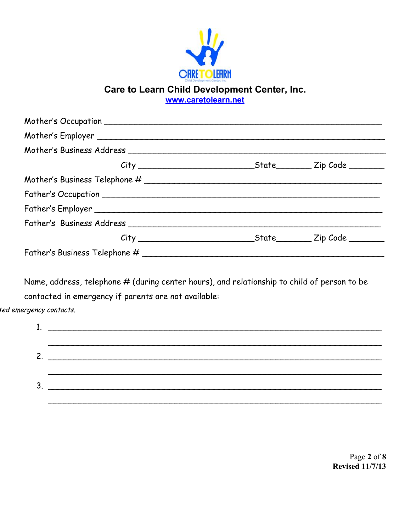

**[www.caretolearn.net](http://www.caretolearn.net/)**

Name, address, telephone # (during center hours), and relationship to child of person to be contacted in emergency if parents are not available:

ted emergency contacts.

| 2 |  |
|---|--|
|   |  |
| ີ |  |
|   |  |

Page **2** of **8 Revised 11/7/13**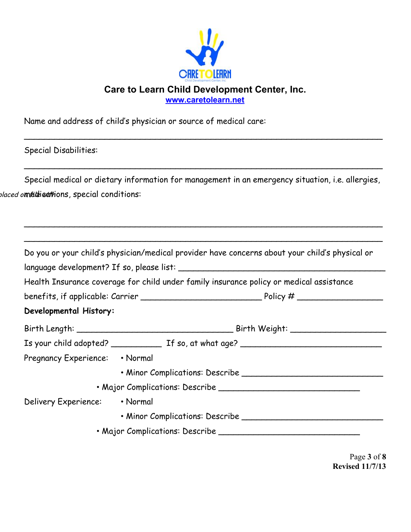

**[www.caretolearn.net](http://www.caretolearn.net/)**

 $\overline{\phantom{a}}$ 

 $\overline{\phantom{a}}$ 

 $\overline{\phantom{a}}$ 

Name and address of child's physician or source of medical care:

Special Disabilities:

Special medical or dietary information for management in an emergency situation, i.e. allergies, b*laced omédicati*ons, special conditions:

|                                | Do you or your child's physician/medical provider have concerns about your child's physical or |
|--------------------------------|------------------------------------------------------------------------------------------------|
|                                |                                                                                                |
|                                | Health Insurance coverage for child under family insurance policy or medical assistance        |
|                                |                                                                                                |
| Developmental History:         |                                                                                                |
|                                |                                                                                                |
|                                |                                                                                                |
| Pregnancy Experience: • Normal |                                                                                                |
|                                |                                                                                                |
|                                |                                                                                                |
| Delivery Experience: • Normal  |                                                                                                |
|                                |                                                                                                |
|                                |                                                                                                |

Page **3** of **8 Revised 11/7/13**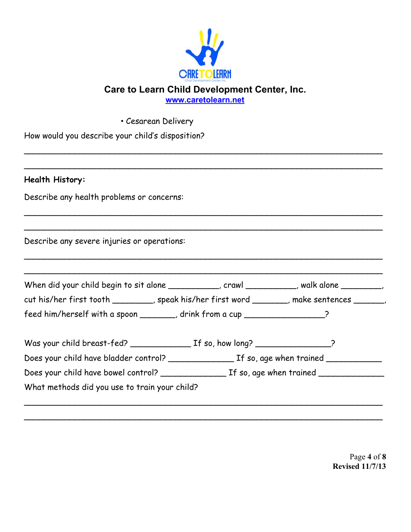

**[www.caretolearn.net](http://www.caretolearn.net/)**

 $\overline{\phantom{a}}$ 

 $\overline{\phantom{a}}$ 

 $\overline{\phantom{a}}$ 

|  |  |  | How would you describe your child's disposition? |
|--|--|--|--------------------------------------------------|

• Cesarean Delivery

### **Health History:**

Describe any health problems or concerns:

Describe any severe injuries or operations:

| When did your child begin to sit alone ___________, crawl _________, walk alone _______,   |  |
|--------------------------------------------------------------------------------------------|--|
| cut his/her first tooth _________, speak his/her first word _______, make sentences _____, |  |
| feed him/herself with a spoon _______, drink from a cup _______________?                   |  |
|                                                                                            |  |
|                                                                                            |  |
|                                                                                            |  |

 $\overline{\phantom{a}}$ 

Page **4** of **8 Revised 11/7/13**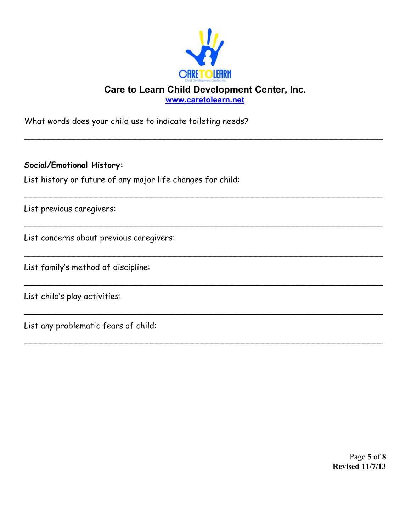

**[www.caretolearn.net](http://www.caretolearn.net/)**

 $\overline{\phantom{a}}$ 

 $\overline{\phantom{a}}$ 

 $\overline{\phantom{a}}$ 

 $\overline{\phantom{a}}$ 

 $\overline{\phantom{a}}$ 

 $\overline{\phantom{a}}$ 

 $\overline{\phantom{a}}$ 

What words does your child use to indicate toileting needs?

**Social/Emotional History:**

List history or future of any major life changes for child:

List previous caregivers:

List concerns about previous caregivers:

List family's method of discipline:

List child's play activities:

List any problematic fears of child:

Page **5** of **8 Revised 11/7/13**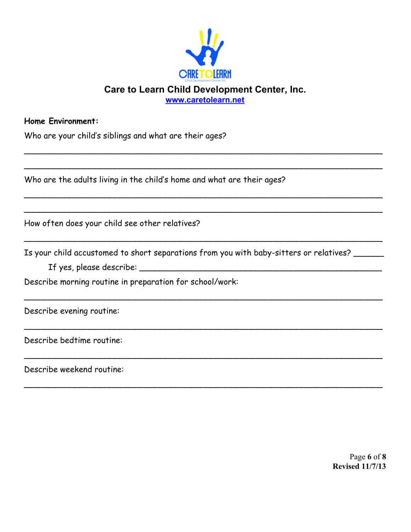

**[www.caretolearn.net](http://www.caretolearn.net/)**

 $\overline{\phantom{a}}$ 

 $\overline{\phantom{a}}$ 

 $\overline{\phantom{a}}$ 

 $\overline{\phantom{a}}$ 

 $\overline{\phantom{a}}$ 

 $\overline{\phantom{a}}$ 

 $\overline{\phantom{a}}$ 

 $\overline{\phantom{a}}$ 

#### **Home Environment:**

| Who are your child's siblings and what are their ages? |  |  |  |  |
|--------------------------------------------------------|--|--|--|--|
|                                                        |  |  |  |  |

Who are the adults living in the child's home and what are their ages?

How often does your child see other relatives?

Is your child accustomed to short separations from you with baby-sitters or relatives? \_\_\_\_\_\_

If yes, please describe: \_\_\_\_\_\_\_\_\_\_\_\_\_\_\_\_\_\_\_\_\_\_\_\_\_\_\_\_\_\_\_\_\_\_\_\_\_\_\_\_\_\_\_\_\_\_\_\_

Describe morning routine in preparation for school/work:

Describe evening routine:

Describe bedtime routine:

Describe weekend routine:

Page **6** of **8 Revised 11/7/13**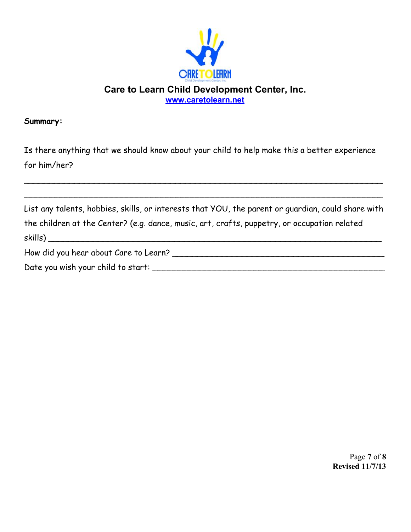

#### **Summary:**

Is there anything that we should know about your child to help make this a better experience for him/her?

 $\overline{\phantom{a}}$ 

 $\overline{\phantom{a}}$ 

| List any talents, hobbies, skills, or interests that YOU, the parent or quardian, could share with |
|----------------------------------------------------------------------------------------------------|
| the children at the Center? (e.g. dance, music, art, crafts, puppetry, or occupation related       |
|                                                                                                    |
| How did you hear about Care to Learn?                                                              |
| Date you wish your child to start:                                                                 |

Page **7** of **8 Revised 11/7/13**